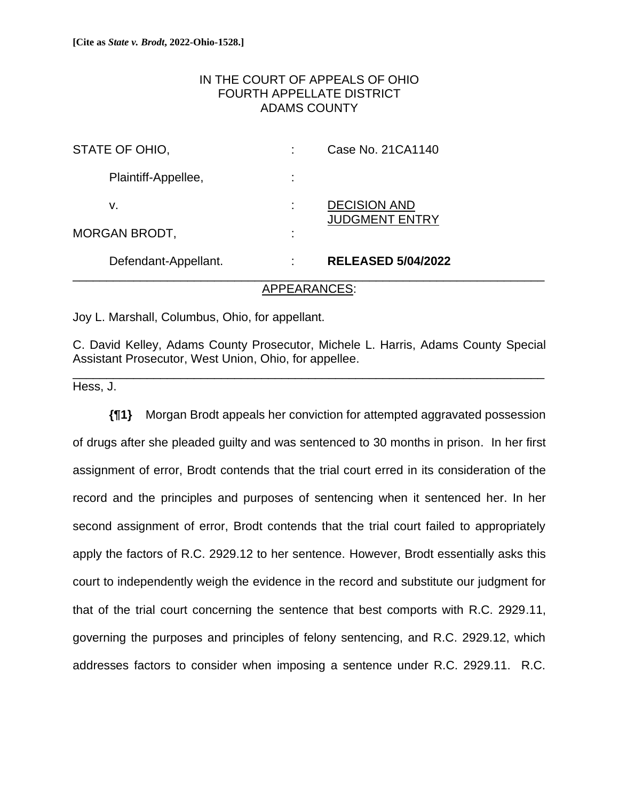# IN THE COURT OF APPEALS OF OHIO FOURTH APPELLATE DISTRICT ADAMS COUNTY

| Defendant-Appellant. |   | <b>RELEASED 5/04/2022</b>                    |
|----------------------|---|----------------------------------------------|
| <b>MORGAN BRODT,</b> | ٠ |                                              |
| ۷.                   |   | <b>DECISION AND</b><br><b>JUDGMENT ENTRY</b> |
| Plaintiff-Appellee,  |   |                                              |
| STATE OF OHIO,       |   | Case No. 21CA1140                            |

#### APPEARANCES:

Joy L. Marshall, Columbus, Ohio, for appellant.

C. David Kelley, Adams County Prosecutor, Michele L. Harris, Adams County Special Assistant Prosecutor, West Union, Ohio, for appellee.

\_\_\_\_\_\_\_\_\_\_\_\_\_\_\_\_\_\_\_\_\_\_\_\_\_\_\_\_\_\_\_\_\_\_\_\_\_\_\_\_\_\_\_\_\_\_\_\_\_\_\_\_\_\_\_\_\_\_\_\_\_\_\_\_\_\_\_\_\_\_

Hess, J.

**{¶1}** Morgan Brodt appeals her conviction for attempted aggravated possession of drugs after she pleaded guilty and was sentenced to 30 months in prison. In her first assignment of error, Brodt contends that the trial court erred in its consideration of the record and the principles and purposes of sentencing when it sentenced her. In her second assignment of error, Brodt contends that the trial court failed to appropriately apply the factors of R.C. 2929.12 to her sentence. However, Brodt essentially asks this court to independently weigh the evidence in the record and substitute our judgment for that of the trial court concerning the sentence that best comports with R.C. 2929.11, governing the purposes and principles of felony sentencing, and R.C. 2929.12, which addresses factors to consider when imposing a sentence under R.C. 2929.11. R.C.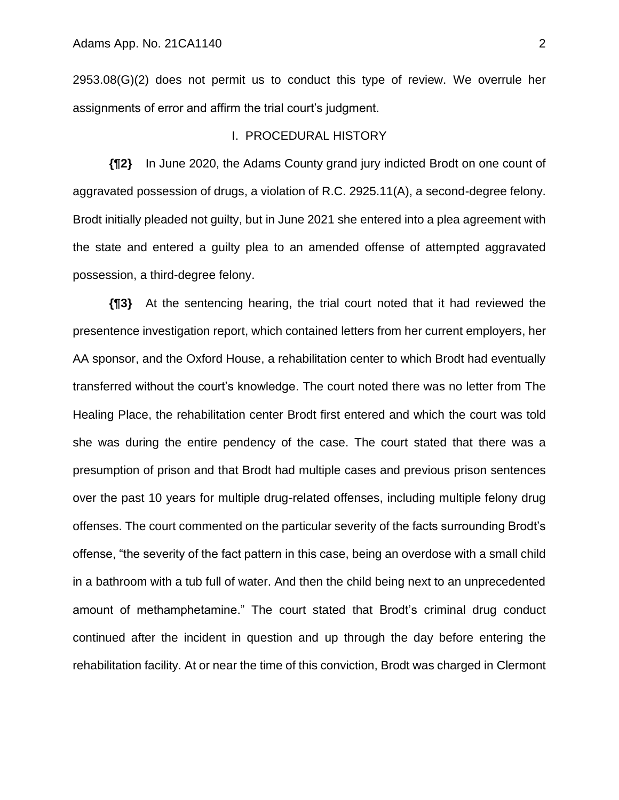2953.08(G)(2) does not permit us to conduct this type of review. We overrule her assignments of error and affirm the trial court's judgment.

#### I. PROCEDURAL HISTORY

**{¶2}** In June 2020, the Adams County grand jury indicted Brodt on one count of aggravated possession of drugs, a violation of R.C. 2925.11(A), a second-degree felony. Brodt initially pleaded not guilty, but in June 2021 she entered into a plea agreement with the state and entered a guilty plea to an amended offense of attempted aggravated possession, a third-degree felony.

**{¶3}** At the sentencing hearing, the trial court noted that it had reviewed the presentence investigation report, which contained letters from her current employers, her AA sponsor, and the Oxford House, a rehabilitation center to which Brodt had eventually transferred without the court's knowledge. The court noted there was no letter from The Healing Place, the rehabilitation center Brodt first entered and which the court was told she was during the entire pendency of the case. The court stated that there was a presumption of prison and that Brodt had multiple cases and previous prison sentences over the past 10 years for multiple drug-related offenses, including multiple felony drug offenses. The court commented on the particular severity of the facts surrounding Brodt's offense, "the severity of the fact pattern in this case, being an overdose with a small child in a bathroom with a tub full of water. And then the child being next to an unprecedented amount of methamphetamine." The court stated that Brodt's criminal drug conduct continued after the incident in question and up through the day before entering the rehabilitation facility. At or near the time of this conviction, Brodt was charged in Clermont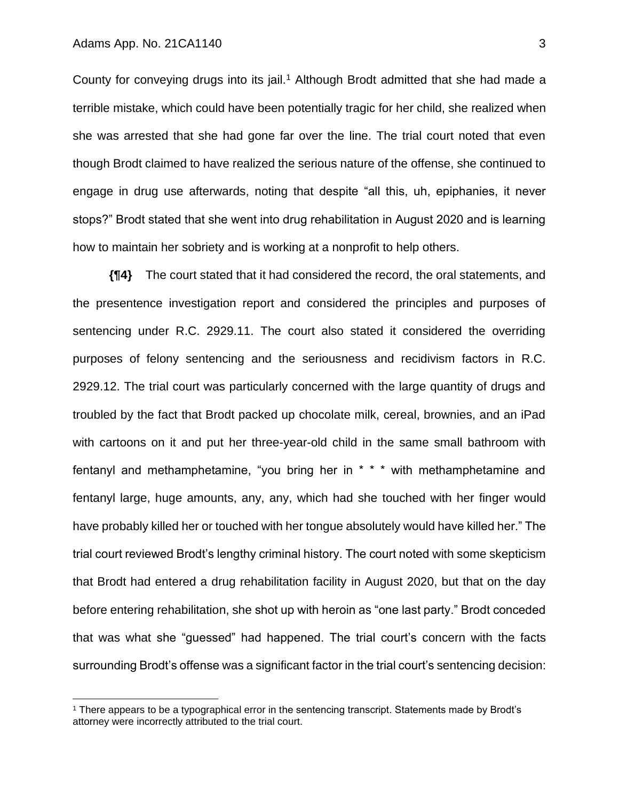County for conveying drugs into its jail.<sup>1</sup> Although Brodt admitted that she had made a terrible mistake, which could have been potentially tragic for her child, she realized when she was arrested that she had gone far over the line. The trial court noted that even though Brodt claimed to have realized the serious nature of the offense, she continued to engage in drug use afterwards, noting that despite "all this, uh, epiphanies, it never stops?" Brodt stated that she went into drug rehabilitation in August 2020 and is learning how to maintain her sobriety and is working at a nonprofit to help others.

**{¶4}** The court stated that it had considered the record, the oral statements, and the presentence investigation report and considered the principles and purposes of sentencing under R.C. 2929.11. The court also stated it considered the overriding purposes of felony sentencing and the seriousness and recidivism factors in R.C. 2929.12. The trial court was particularly concerned with the large quantity of drugs and troubled by the fact that Brodt packed up chocolate milk, cereal, brownies, and an iPad with cartoons on it and put her three-year-old child in the same small bathroom with fentanyl and methamphetamine, "you bring her in \* \* \* with methamphetamine and fentanyl large, huge amounts, any, any, which had she touched with her finger would have probably killed her or touched with her tongue absolutely would have killed her." The trial court reviewed Brodt's lengthy criminal history. The court noted with some skepticism that Brodt had entered a drug rehabilitation facility in August 2020, but that on the day before entering rehabilitation, she shot up with heroin as "one last party." Brodt conceded that was what she "guessed" had happened. The trial court's concern with the facts surrounding Brodt's offense was a significant factor in the trial court's sentencing decision:

<sup>&</sup>lt;sup>1</sup> There appears to be a typographical error in the sentencing transcript. Statements made by Brodt's attorney were incorrectly attributed to the trial court.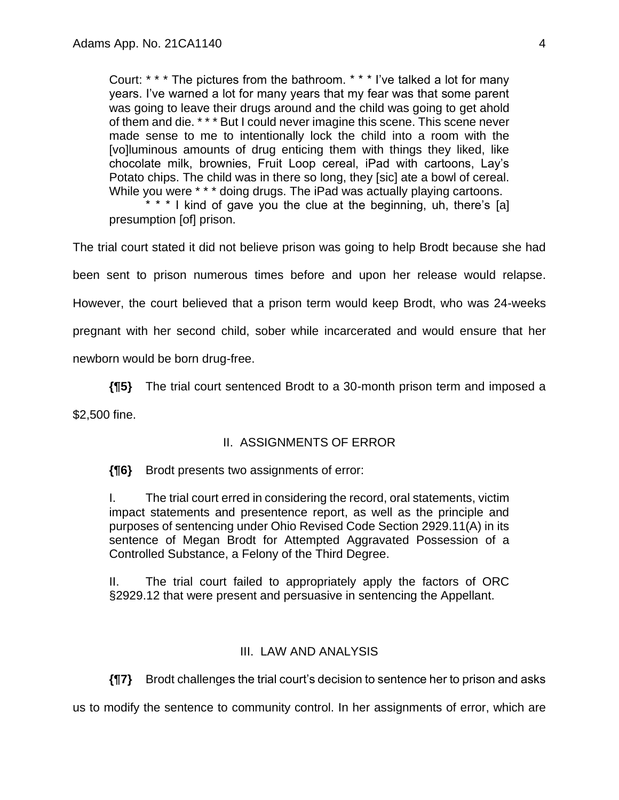Court: \* \* \* The pictures from the bathroom. \* \* \* I've talked a lot for many years. I've warned a lot for many years that my fear was that some parent was going to leave their drugs around and the child was going to get ahold of them and die. \* \* \* But I could never imagine this scene. This scene never made sense to me to intentionally lock the child into a room with the [vo]luminous amounts of drug enticing them with things they liked, like chocolate milk, brownies, Fruit Loop cereal, iPad with cartoons, Lay's Potato chips. The child was in there so long, they [sic] ate a bowl of cereal. While you were \* \* \* doing drugs. The iPad was actually playing cartoons.

\* \* \* I kind of gave you the clue at the beginning, uh, there's [a] presumption [of] prison.

The trial court stated it did not believe prison was going to help Brodt because she had been sent to prison numerous times before and upon her release would relapse. However, the court believed that a prison term would keep Brodt, who was 24-weeks pregnant with her second child, sober while incarcerated and would ensure that her newborn would be born drug-free.

**{¶5}** The trial court sentenced Brodt to a 30-month prison term and imposed a \$2,500 fine.

# II. ASSIGNMENTS OF ERROR

**{¶6}** Brodt presents two assignments of error:

I. The trial court erred in considering the record, oral statements, victim impact statements and presentence report, as well as the principle and purposes of sentencing under Ohio Revised Code Section 2929.11(A) in its sentence of Megan Brodt for Attempted Aggravated Possession of a Controlled Substance, a Felony of the Third Degree.

II. The trial court failed to appropriately apply the factors of ORC §2929.12 that were present and persuasive in sentencing the Appellant.

# III. LAW AND ANALYSIS

**{¶7}** Brodt challenges the trial court's decision to sentence her to prison and asks

us to modify the sentence to community control. In her assignments of error, which are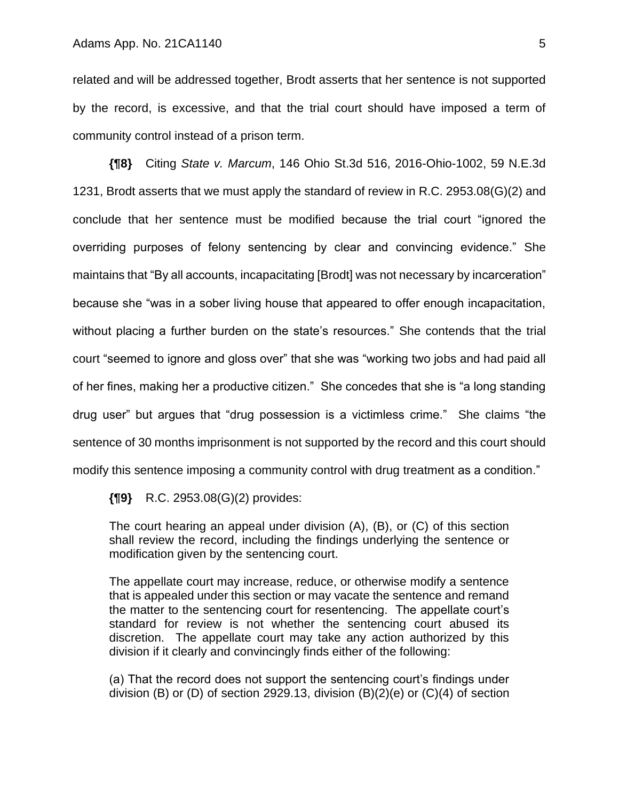related and will be addressed together, Brodt asserts that her sentence is not supported by the record, is excessive, and that the trial court should have imposed a term of community control instead of a prison term.

**{¶8}** Citing *State v. Marcum*, 146 Ohio St.3d 516, 2016-Ohio-1002, 59 N.E.3d 1231, Brodt asserts that we must apply the standard of review in R.C. 2953.08(G)(2) and conclude that her sentence must be modified because the trial court "ignored the overriding purposes of felony sentencing by clear and convincing evidence." She maintains that "By all accounts, incapacitating [Brodt] was not necessary by incarceration" because she "was in a sober living house that appeared to offer enough incapacitation, without placing a further burden on the state's resources." She contends that the trial court "seemed to ignore and gloss over" that she was "working two jobs and had paid all of her fines, making her a productive citizen." She concedes that she is "a long standing drug user" but argues that "drug possession is a victimless crime." She claims "the sentence of 30 months imprisonment is not supported by the record and this court should modify this sentence imposing a community control with drug treatment as a condition."

**{¶9}** R.C. 2953.08(G)(2) provides:

The court hearing an appeal under division (A), (B), or (C) of this section shall review the record, including the findings underlying the sentence or modification given by the sentencing court.

The appellate court may increase, reduce, or otherwise modify a sentence that is appealed under this section or may vacate the sentence and remand the matter to the sentencing court for resentencing. The appellate court's standard for review is not whether the sentencing court abused its discretion. The appellate court may take any action authorized by this division if it clearly and convincingly finds either of the following:

(a) That the record does not support the sentencing court's findings under division (B) or (D) of section 2929.13, division  $(B)(2)(e)$  or  $(C)(4)$  of section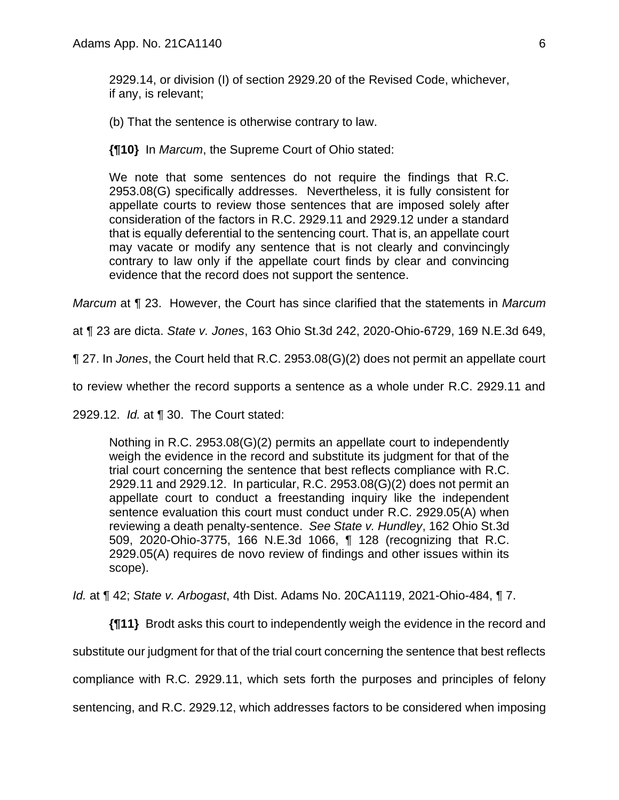2929.14, or division (I) of section 2929.20 of the Revised Code, whichever, if any, is relevant;

(b) That the sentence is otherwise contrary to law.

**{¶10}** In *Marcum*, the Supreme Court of Ohio stated:

We note that some sentences do not require the findings that R.C. 2953.08(G) specifically addresses. Nevertheless, it is fully consistent for appellate courts to review those sentences that are imposed solely after consideration of the factors in R.C. 2929.11 and 2929.12 under a standard that is equally deferential to the sentencing court. That is, an appellate court may vacate or modify any sentence that is not clearly and convincingly contrary to law only if the appellate court finds by clear and convincing evidence that the record does not support the sentence.

*Marcum* at ¶ 23. However, the Court has since clarified that the statements in *Marcum* 

at ¶ 23 are dicta. *State v. Jones*, 163 Ohio St.3d 242, 2020-Ohio-6729, 169 N.E.3d 649,

¶ 27. In *Jones*, the Court held that R.C. 2953.08(G)(2) does not permit an appellate court

to review whether the record supports a sentence as a whole under R.C. 2929.11 and

2929.12. *Id.* at ¶ 30. The Court stated:

Nothing in R.C. 2953.08(G)(2) permits an appellate court to independently weigh the evidence in the record and substitute its judgment for that of the trial court concerning the sentence that best reflects compliance with R.C. 2929.11 and 2929.12. In particular, R.C. 2953.08(G)(2) does not permit an appellate court to conduct a freestanding inquiry like the independent sentence evaluation this court must conduct under R.C. 2929.05(A) when reviewing a death penalty-sentence. *See State v. Hundley*, 162 Ohio St.3d 509, 2020-Ohio-3775, 166 N.E.3d 1066, ¶ 128 (recognizing that R.C. 2929.05(A) requires de novo review of findings and other issues within its scope).

*Id.* at ¶ 42; *State v. Arbogast*, 4th Dist. Adams No. 20CA1119, 2021-Ohio-484, ¶ 7.

**{¶11}** Brodt asks this court to independently weigh the evidence in the record and substitute our judgment for that of the trial court concerning the sentence that best reflects compliance with R.C. 2929.11, which sets forth the purposes and principles of felony sentencing, and R.C. 2929.12, which addresses factors to be considered when imposing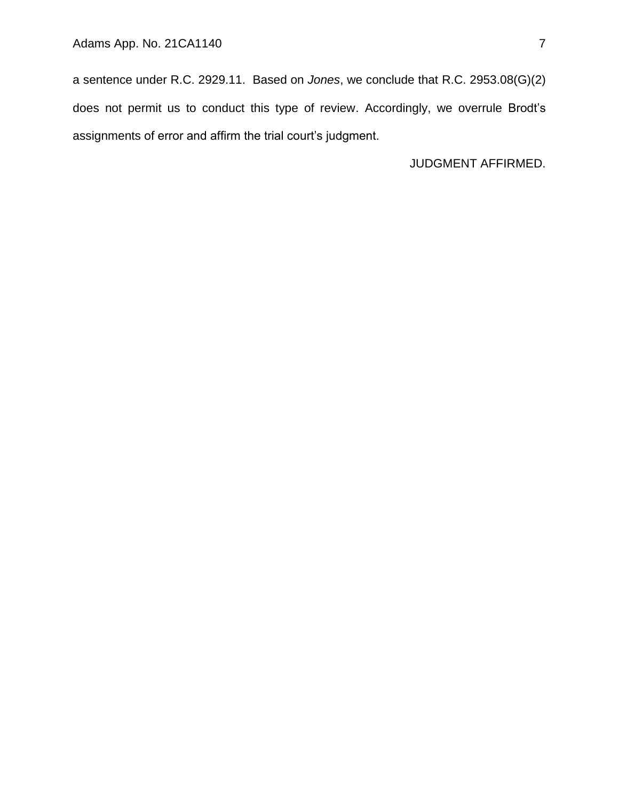a sentence under R.C. 2929.11. Based on *Jones*, we conclude that R.C. 2953.08(G)(2) does not permit us to conduct this type of review. Accordingly, we overrule Brodt's assignments of error and affirm the trial court's judgment.

JUDGMENT AFFIRMED.